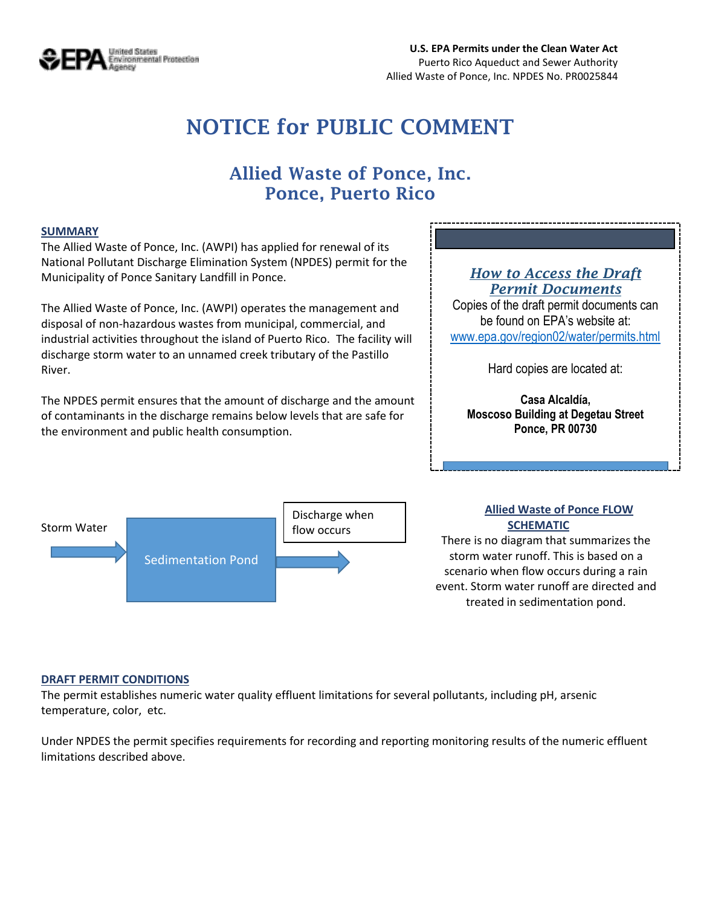

# **NOTICE for PUBLIC COMMENT**

# **Allied Waste of Ponce, Inc. Ponce, Puerto Rico**

#### **SUMMARY**

The Allied Waste of Ponce, Inc. (AWPI) has applied for renewal of its National Pollutant Discharge Elimination System (NPDES) permit for the Municipality of Ponce Sanitary Landfill in Ponce.

The Allied Waste of Ponce, Inc. (AWPI) operates the management and disposal of non-hazardous wastes from municipal, commercial, and industrial activities throughout the island of Puerto Rico. The facility will discharge storm water to an unnamed creek tributary of the Pastillo River.

The NPDES permit ensures that the amount of discharge and the amount of contaminants in the discharge remains below levels that are safe for the environment and public health consumption.

### *How to Access the Draft Permit Documents*

Copies of the draft permit documents can be found on EPA's website at: [www.epa.gov/region02/water/permits.html](http://www.epa.gov/region02/water/permits.html)

Hard copies are located at:

**Casa Alcaldía, Moscoso Building at Degetau Street Ponce, PR 00730**



#### **Allied Waste of Ponce FLOW SCHEMATIC**

There is no diagram that summarizes the storm water runoff. This is based on a scenario when flow occurs during a rain event. Storm water runoff are directed and treated in sedimentation pond.

#### **DRAFT PERMIT CONDITIONS**

The permit establishes numeric water quality effluent limitations for several pollutants, including pH, arsenic temperature, color, etc.

Under NPDES the permit specifies requirements for recording and reporting monitoring results of the numeric effluent limitations described above.